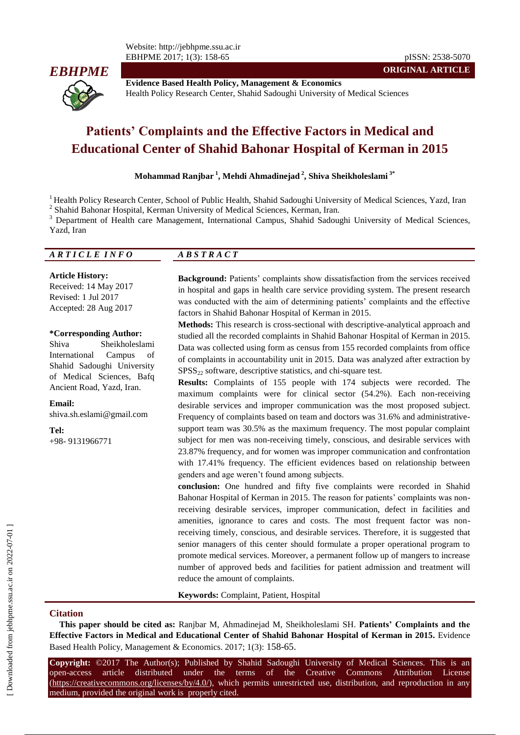Website: http://jebhpme.ssu.ac.ir EBHPME 2017; 1(3): 158-65 pISSN: 2538-5070



**Evidence Based Health Policy, Management & Economics** Health Policy Research Center, Shahid Sadoughi University of Medical Sciences

# **Patients' Complaints and the Effective Factors in Medical and Educational Center of Shahid Bahonar Hospital of Kerman in 2015**

**Mohammad Ranjbar <sup>1</sup> , Mehdi Ahmadinejad <sup>2</sup> , Shiva Sheikholeslami 3\***

<sup>1</sup> Health Policy Research Center, School of Public Health, Shahid Sadoughi University of Medical Sciences, Yazd, Iran <sup>2</sup> Shahid Bahonar Hospital, Kerman University of Medical Sciences, Kerman, Iran.

<sup>3</sup> Department of Health care Management, International Campus, Shahid Sadoughi University of Medical Sciences, Yazd, Iran

| ARTICLE INFO | $\overline{AB}$ S T R A C T |  |
|--------------|-----------------------------|--|
|              |                             |  |

#### **Article History:**

Received: 14 May 2017 Revised: 1 Jul 2017 Accepted: 28 Aug 2017

#### **\*Corresponding Author:**

Shiva Sheikholeslami International Campus of Shahid Sadoughi University of Medical Sciences, Bafq Ancient Road, Yazd, Iran.

**Email:**

shiva.sh.eslami@gmail.com

**Tel:**

+98- 9131966771

**Background:** Patients' complaints show dissatisfaction from the services received in hospital and gaps in health care service providing system. The present research was conducted with the aim of determining patients' complaints and the effective factors in Shahid Bahonar Hospital of Kerman in 2015.

**ORIGINAL ARTICLE**

**Methods:** This research is cross-sectional with descriptive-analytical approach and studied all the recorded complaints in Shahid Bahonar Hospital of Kerman in 2015. Data was collected using form as census from 155 recorded complaints from office of complaints in accountability unit in 2015. Data was analyzed after extraction by  $SPSS<sub>22</sub>$  software, descriptive statistics, and chi-square test.

**Results:** Complaints of 155 people with 174 subjects were recorded. The maximum complaints were for clinical sector (54.2%). Each non-receiving desirable services and improper communication was the most proposed subject. Frequency of complaints based on team and doctors was 31.6% and administrativesupport team was 30.5% as the maximum frequency. The most popular complaint subject for men was non-receiving timely, conscious, and desirable services with 23.87% frequency, and for women was improper communication and confrontation with 17.41% frequency. The efficient evidences based on relationship between genders and age weren't found among subjects.

**conclusion:** One hundred and fifty five complaints were recorded in Shahid Bahonar Hospital of Kerman in 2015. The reason for patients' complaints was nonreceiving desirable services, improper communication, defect in facilities and amenities, ignorance to cares and costs. The most frequent factor was nonreceiving timely, conscious, and desirable services. Therefore, it is suggested that senior managers of this center should formulate a proper operational program to promote medical services. Moreover, a permanent follow up of mangers to increase number of approved beds and facilities for patient admission and treatment will reduce the amount of complaints.

**Keywords:** Complaint, Patient, Hospital

#### **Citation**

**This paper should be cited as:** Ranjbar M, Ahmadinejad M, Sheikholeslami SH. **Patients' Complaints and the Effective Factors in Medical and Educational Center of Shahid Bahonar Hospital of Kerman in 2015.** Evidence Based Health Policy, Management & Economics. 2017; 1(3): 158-65.

**Copyright:** ©2017 The Author(s); Published by Shahid Sadoughi University of Medical Sciences. This is an open-access article distributed under the terms of the Creative Commons Attribution License (https://creativecommons.org/licenses/by/4.0/), which permits unrestricted use, distribution, and reproduction in any medium, provided the original work is properly cited.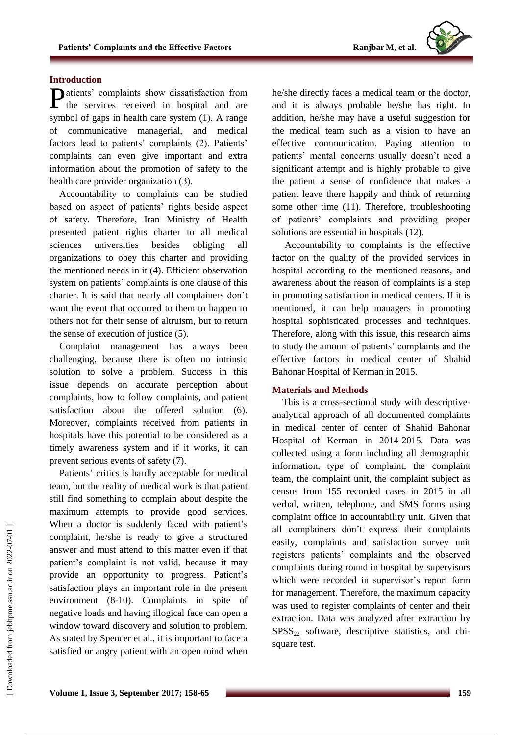# **Introduction**

atients' complaints show dissatisfaction from Patients' complaints show dissatisfaction from<br>the services received in hospital and are symbol of gaps in health care system (1). A range of communicative managerial, and medical factors lead to patients' complaints (2). Patients' complaints can even give important and extra information about the promotion of safety to the health care provider organization (3).

Accountability to complaints can be studied based on aspect of patients' rights beside aspect of safety. Therefore, Iran Ministry of Health presented patient rights charter to all medical sciences universities besides obliging all organizations to obey this charter and providing the mentioned needs in it (4). Efficient observation system on patients' complaints is one clause of this charter. It is said that nearly all complainers don't want the event that occurred to them to happen to others not for their sense of altruism, but to return the sense of execution of justice (5).

Complaint management has always been challenging, because there is often no intrinsic solution to solve a problem. Success in this issue depends on accurate perception about complaints, how to follow complaints, and patient satisfaction about the offered solution (6). Moreover, complaints received from patients in hospitals have this potential to be considered as a timely awareness system and if it works, it can prevent serious events of safety (7).

Patients' critics is hardly acceptable for medical team, but the reality of medical work is that patient still find something to complain about despite the maximum attempts to provide good services. When a doctor is suddenly faced with patient's complaint, he/she is ready to give a structured answer and must attend to this matter even if that patient's complaint is not valid, because it may provide an opportunity to progress. Patient's satisfaction plays an important role in the present environment (8-10). Complaints in spite of negative loads and having illogical face can open a window toward discovery and solution to problem. As stated by Spencer et al., it is important to face a satisfied or angry patient with an open mind when

he/she directly faces a medical team or the doctor, and it is always probable he/she has right. In addition, he/she may have a useful suggestion for the medical team such as a vision to have an effective communication. Paying attention to patients' mental concerns usually doesn't need a significant attempt and is highly probable to give the patient a sense of confidence that makes a patient leave there happily and think of returning some other time (11). Therefore, troubleshooting of patients' complaints and providing proper solutions are essential in hospitals (12).

Accountability to complaints is the effective factor on the quality of the provided services in hospital according to the mentioned reasons, and awareness about the reason of complaints is a step in promoting satisfaction in medical centers. If it is mentioned, it can help managers in promoting hospital sophisticated processes and techniques. Therefore, along with this issue, this research aims to study the amount of patients' complaints and the effective factors in medical center of Shahid Bahonar Hospital of Kerman in 2015.

## **Materials and Methods**

This is a cross-sectional study with descriptiveanalytical approach of all documented complaints in medical center of center of Shahid Bahonar Hospital of Kerman in 2014-2015. Data was collected using a form including all demographic information, type of complaint, the complaint team, the complaint unit, the complaint subject as census from 155 recorded cases in 2015 in all verbal, written, telephone, and SMS forms using complaint office in accountability unit. Given that all complainers don't express their complaints easily, complaints and satisfaction survey unit registers patients' complaints and the observed complaints during round in hospital by supervisors which were recorded in supervisor's report form for management. Therefore, the maximum capacity was used to register complaints of center and their extraction. Data was analyzed after extraction by  $SPSS<sub>22</sub>$  software, descriptive statistics, and chisquare test.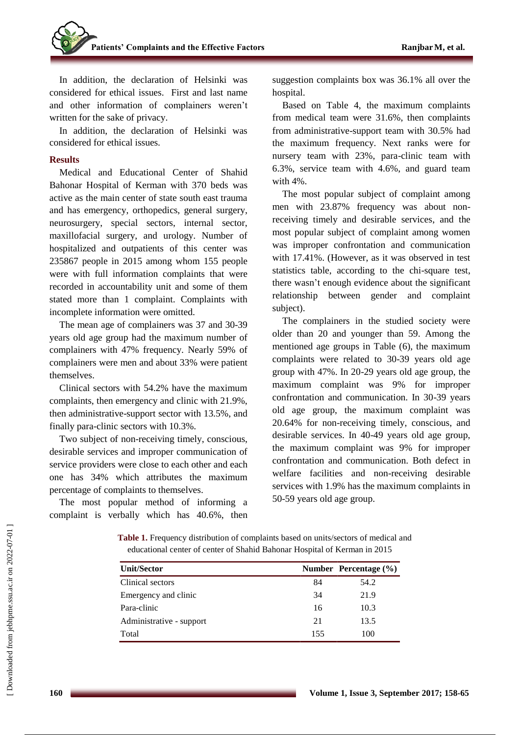In addition, the declaration of Helsinki was considered for ethical issues. First and last name and other information of complainers weren't written for the sake of privacy.

In addition, the declaration of Helsinki was considered for ethical issues.

## **Results**

Medical and Educational Center of Shahid Bahonar Hospital of Kerman with 370 beds was active as the main center of state south east trauma and has emergency, orthopedics, general surgery, neurosurgery, special sectors, internal sector, maxillofacial surgery, and urology. Number of hospitalized and outpatients of this center was 235867 people in 2015 among whom 155 people were with full information complaints that were recorded in accountability unit and some of them stated more than 1 complaint. Complaints with incomplete information were omitted.

The mean age of complainers was 37 and 30-39 years old age group had the maximum number of complainers with 47% frequency. Nearly 59% of complainers were men and about 33% were patient themselves.

Clinical sectors with 54.2% have the maximum complaints, then emergency and clinic with 21.9%, then administrative-support sector with 13.5%, and finally para-clinic sectors with 10.3%.

Two subject of non-receiving timely, conscious, desirable services and improper communication of service providers were close to each other and each one has 34% which attributes the maximum percentage of complaints to themselves.

The most popular method of informing a complaint is verbally which has 40.6%, then suggestion complaints box was 36.1% all over the hospital.

Based on Table 4, the maximum complaints from medical team were 31.6%, then complaints from administrative-support team with 30.5% had the maximum frequency. Next ranks were for nursery team with 23%, para-clinic team with 6.3%, service team with 4.6%, and guard team with 4%.

The most popular subject of complaint among men with 23.87% frequency was about nonreceiving timely and desirable services, and the most popular subject of complaint among women was improper confrontation and communication with 17.41%. (However, as it was observed in test statistics table, according to the chi-square test, there wasn't enough evidence about the significant relationship between gender and complaint subject).

The complainers in the studied society were older than 20 and younger than 59. Among the mentioned age groups in Table (6), the maximum complaints were related to 30-39 years old age group with 47%. In 20-29 years old age group, the maximum complaint was 9% for improper confrontation and communication. In 30-39 years old age group, the maximum complaint was 20.64% for non-receiving timely, conscious, and desirable services. In 40-49 years old age group, the maximum complaint was 9% for improper confrontation and communication. Both defect in welfare facilities and non-receiving desirable services with 1.9% has the maximum complaints in 50-59 years old age group.

**Table 1.** Frequency distribution of complaints based on units/sectors of medical and educational center of center of Shahid Bahonar Hospital of Kerman in 2015

| <b>Unit/Sector</b>       |     | Number Percentage $(\% )$ |
|--------------------------|-----|---------------------------|
| Clinical sectors         | 84  | 54.2                      |
| Emergency and clinic     | 34  | 21.9                      |
| Para-clinic              | 16  | 10.3                      |
| Administrative - support | 21  | 13.5                      |
| Total                    | 155 | 100                       |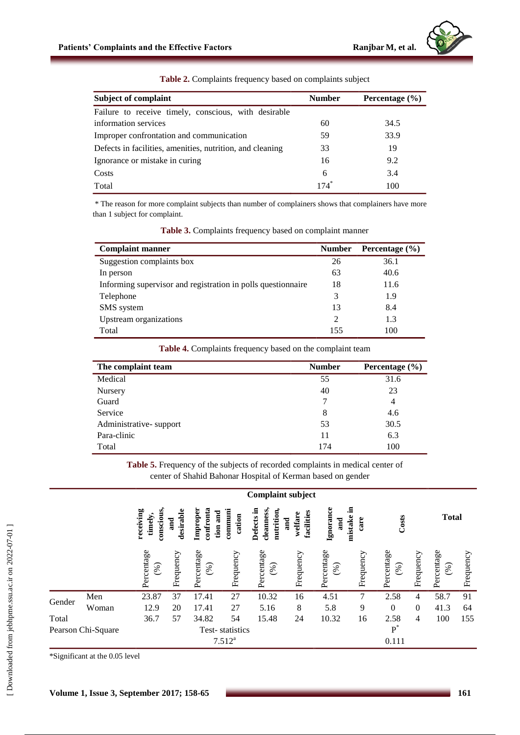| <b>Subject of complaint</b>                               | <b>Number</b> | Percentage $(\% )$ |  |  |
|-----------------------------------------------------------|---------------|--------------------|--|--|
| Failure to receive timely, conscious, with desirable      |               |                    |  |  |
| information services                                      | 60            | 34.5               |  |  |
| Improper confrontation and communication                  | 59            | 33.9               |  |  |
| Defects in facilities, amenities, nutrition, and cleaning | 33            | 19                 |  |  |
| Ignorance or mistake in curing                            | 16            | 9.2                |  |  |
| Costs                                                     | 6             | 3.4                |  |  |
| Total                                                     | $174^\circ$   | 100                |  |  |

**Table 2.** Complaints frequency based on complaints subject

\* The reason for more complaint subjects than number of complainers shows that complainers have more than 1 subject for complaint.

| <b>Complaint manner</b>                                      | <b>Number</b> | Percentage $(\% )$ |
|--------------------------------------------------------------|---------------|--------------------|
| Suggestion complaints box                                    | 26            | 36.1               |
| In person                                                    | 63            | 40.6               |
| Informing supervisor and registration in polls questionnaire | 18            | 11.6               |
| Telephone                                                    | 3             | 1.9                |
| SMS system                                                   | 13            | 8.4                |
| Upstream organizations                                       | っ             | 1.3                |
| Total                                                        | 155           | 100                |

**Table 3.** Complaints frequency based on complaint manner

**Table 4.** Complaints frequency based on the complaint team

| The complaint team     | <b>Number</b> | Percentage $(\% )$ |
|------------------------|---------------|--------------------|
| Medical                | 55            | 31.6               |
| Nursery                | 40            | 23                 |
| Guard                  |               | 4                  |
| Service                | 8             | 4.6                |
| Administrative-support | 53            | 30.5               |
| Para-clinic            | 11            | 6.3                |
| Total                  | 174           | 100                |

**Table 5.** Frequency of the subjects of recorded complaints in medical center of center of Shahid Bahonar Hospital of Kerman based on gender

|        |                    | <b>Complaint subject</b>                                                                                         |           |                   |                 |                                        |                                                                   |                   |           |                   |                  |                   |              |  |  |
|--------|--------------------|------------------------------------------------------------------------------------------------------------------|-----------|-------------------|-----------------|----------------------------------------|-------------------------------------------------------------------|-------------------|-----------|-------------------|------------------|-------------------|--------------|--|--|
|        |                    | conscious,<br>confronta<br>communi<br>receiving<br>Improper<br>desirable<br>tion and<br>cation<br>timely,<br>and |           |                   |                 | Defects in<br>cleanness,<br>nutrition, | Ignorance<br>.크<br>facilities<br>welfare<br>mistake<br>and<br>and |                   |           | Costs<br>care     |                  |                   | <b>Total</b> |  |  |
|        |                    | Percentage<br>(%)                                                                                                | Frequency | Percentage<br>(%) | Frequency       | Percentage<br>(%)                      | Frequency                                                         | Percentage<br>(%) | Frequency | Percentage<br>(%) | Frequency        | Percentage<br>(%) | Frequency    |  |  |
| Gender | Men                | 23.87                                                                                                            | 37        | 17.41             | 27              | 10.32                                  | 16                                                                | 4.51              | 7         | 2.58              | $\overline{4}$   | 58.7              | 91           |  |  |
|        | Woman              | 12.9                                                                                                             | 20        | 17.41             | 27              | 5.16                                   | 8                                                                 | 5.8               | 9         | $\boldsymbol{0}$  | $\boldsymbol{0}$ | 41.3              | 64           |  |  |
| Total  |                    | 36.7                                                                                                             | 57        | 34.82             | 54              | 15.48                                  | 24                                                                | 10.32             | 16        | 2.58              | 4                | 100               | 155          |  |  |
|        | Pearson Chi-Square |                                                                                                                  |           |                   | Test-statistics |                                        |                                                                   |                   |           | $P^*$             |                  |                   |              |  |  |
|        |                    |                                                                                                                  |           |                   | $7.512^{a}$     |                                        |                                                                   |                   | 0.111     |                   |                  |                   |              |  |  |

\*Significant at the 0.05 level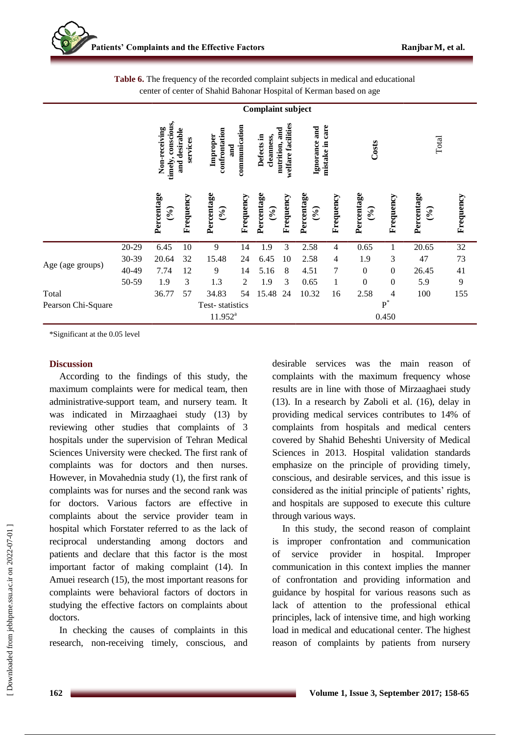|                    | <b>Complaint subject</b> |                                     |                           |                                       |                                    |                       |           |                                     |                |                                       |                  |                    |                |
|--------------------|--------------------------|-------------------------------------|---------------------------|---------------------------------------|------------------------------------|-----------------------|-----------|-------------------------------------|----------------|---------------------------------------|------------------|--------------------|----------------|
|                    |                          | timely, conscious,<br>Non-receiving | and desirable<br>services | confrontation<br>Improper             | communication<br>Defects in<br>and |                       |           | care<br>Ignorance and<br>mistake in |                | Costs                                 |                  | Total              |                |
|                    |                          | Percentage<br>(9)                   | Frequency                 | Percentage<br>$(\mathcal{O}_\bullet)$ | Frequency                          | Percentage<br>$(°_0)$ | Frequency | Percentage<br>$(\frac{6}{10})$      | Frequency      | Percentage<br>$(\mathcal{C}_\bullet)$ | Frequency        | Percentage<br>(96) | Frequency      |
|                    | 20-29                    | 6.45                                | 10                        | 9                                     | 14                                 | 1.9                   | 3         | 2.58                                | $\overline{4}$ | 0.65                                  | 1                | 20.65              | $32\,$         |
|                    | 30-39                    | 20.64                               | 32                        | 15.48                                 | 24                                 | 6.45                  | 10        | 2.58                                | 4              | 1.9                                   | 3                | 47                 | 73             |
| Age (age groups)   | 40-49                    | 7.74                                | 12                        | 9                                     | 14                                 | 5.16                  | 8         | 4.51                                | 7              | $\boldsymbol{0}$                      | $\boldsymbol{0}$ | 26.45              | 41             |
|                    | 50-59                    | 1.9                                 | 3                         | 1.3                                   | 2                                  | 1.9                   | 3         | 0.65                                | $\mathbf{1}$   | $\mathbf{0}$                          | $\boldsymbol{0}$ | 5.9                | $\overline{9}$ |
| Total              |                          | 36.77                               | 57                        | 34.83                                 | 54                                 | 15.48                 | 24        | 10.32                               | 16             | 2.58                                  | $\overline{4}$   | 100                | 155            |
| Pearson Chi-Square |                          |                                     |                           | Test-statistics                       |                                    |                       |           |                                     |                |                                       | $P^*$            |                    |                |
|                    |                          | $11.952^{a}$                        |                           |                                       |                                    |                       |           |                                     |                |                                       | 0.450            |                    |                |

**Table 6.** The frequency of the recorded complaint subjects in medical and educational center of center of Shahid Bahonar Hospital of Kerman based on age

\*Significant at the 0.05 level

#### **Discussion**

According to the findings of this study, the maximum complaints were for medical team, then administrative-support team, and nursery team. It was indicated in Mirzaaghaei study (13) by reviewing other studies that complaints of 3 hospitals under the supervision of Tehran Medical Sciences University were checked. The first rank of complaints was for doctors and then nurses. However, in Movahednia study (1), the first rank of complaints was for nurses and the second rank was for doctors. Various factors are effective in complaints about the service provider team in hospital which Forstater referred to as the lack of reciprocal understanding among doctors and patients and declare that this factor is the most important factor of making complaint (14). In Amuei research (15), the most important reasons for complaints were behavioral factors of doctors in studying the effective factors on complaints about doctors.

In checking the causes of complaints in this research, non-receiving timely, conscious, and desirable services was the main reason of complaints with the maximum frequency whose results are in line with those of Mirzaaghaei study (13). In a research by Zaboli et al. (16), delay in providing medical services contributes to 14% of complaints from hospitals and medical centers covered by Shahid Beheshti University of Medical Sciences in 2013. Hospital validation standards emphasize on the principle of providing timely, conscious, and desirable services, and this issue is considered as the initial principle of patients' rights, and hospitals are supposed to execute this culture through various ways.

In this study, the second reason of complaint is improper confrontation and communication of service provider in hospital. Improper communication in this context implies the manner of confrontation and providing information and guidance by hospital for various reasons such as lack of attention to the professional ethical principles, lack of intensive time, and high working load in medical and educational center. The highest reason of complaints by patients from nursery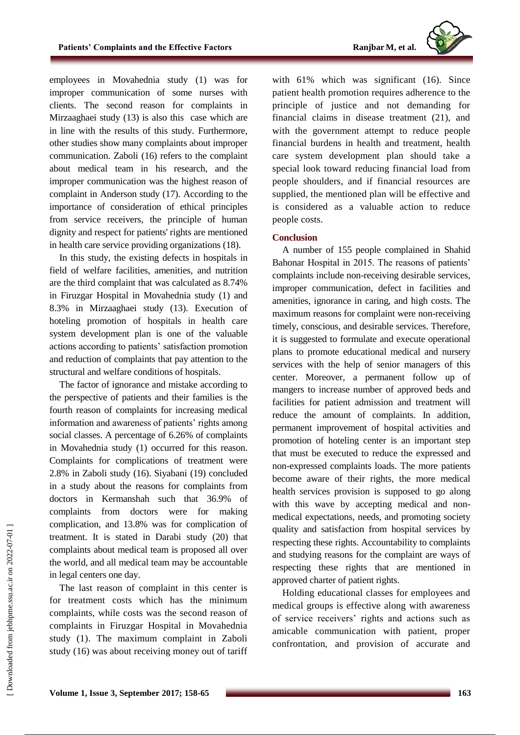

employees in Movahednia study (1) was for improper communication of some nurses with clients. The second reason for complaints in Mirzaaghaei study (13) is also this case which are in line with the results of this study. Furthermore, other studies show many complaints about improper communication. Zaboli (16) refers to the complaint about medical team in his research, and the improper communication was the highest reason of complaint in Anderson study (17). According to the importance of consideration of ethical principles from service receivers, the principle of human dignity and respect for patients' rights are mentioned in health care service providing organizations (18).

In this study, the existing defects in hospitals in field of welfare facilities, amenities, and nutrition are the third complaint that was calculated as 8.74% in Firuzgar Hospital in Movahednia study (1) and 8.3% in Mirzaaghaei study (13). Execution of hoteling promotion of hospitals in health care system development plan is one of the valuable actions according to patients' satisfaction promotion and reduction of complaints that pay attention to the structural and welfare conditions of hospitals.

The factor of ignorance and mistake according to the perspective of patients and their families is the fourth reason of complaints for increasing medical information and awareness of patients' rights among social classes. A percentage of 6.26% of complaints in Movahednia study (1) occurred for this reason. Complaints for complications of treatment were 2.8% in Zaboli study (16). Siyabani (19) concluded in a study about the reasons for complaints from doctors in Kermanshah such that 36.9% of complaints from doctors were for making complication, and 13.8% was for complication of treatment. It is stated in Darabi study (20) that complaints about medical team is proposed all over the world, and all medical team may be accountable in legal centers one day.

The last reason of complaint in this center is for treatment costs which has the minimum complaints, while costs was the second reason of complaints in Firuzgar Hospital in Movahednia study (1). The maximum complaint in Zaboli study (16) was about receiving money out of tariff

with 61% which was significant (16). Since patient health promotion requires adherence to the principle of justice and not demanding for financial claims in disease treatment (21), and with the government attempt to reduce people financial burdens in health and treatment, health care system development plan should take a special look toward reducing financial load from people shoulders, and if financial resources are supplied, the mentioned plan will be effective and is considered as a valuable action to reduce people costs.

## **Conclusion**

A number of 155 people complained in Shahid Bahonar Hospital in 2015. The reasons of patients' complaints include non-receiving desirable services, improper communication, defect in facilities and amenities, ignorance in caring, and high costs. The maximum reasons for complaint were non-receiving timely, conscious, and desirable services. Therefore, it is suggested to formulate and execute operational plans to promote educational medical and nursery services with the help of senior managers of this center. Moreover, a permanent follow up of mangers to increase number of approved beds and facilities for patient admission and treatment will reduce the amount of complaints. In addition, permanent improvement of hospital activities and promotion of hoteling center is an important step that must be executed to reduce the expressed and non-expressed complaints loads. The more patients become aware of their rights, the more medical health services provision is supposed to go along with this wave by accepting medical and nonmedical expectations, needs, and promoting society quality and satisfaction from hospital services by respecting these rights. Accountability to complaints and studying reasons for the complaint are ways of respecting these rights that are mentioned in approved charter of patient rights.

Holding educational classes for employees and medical groups is effective along with awareness of service receivers' rights and actions such as amicable communication with patient, proper confrontation, and provision of accurate and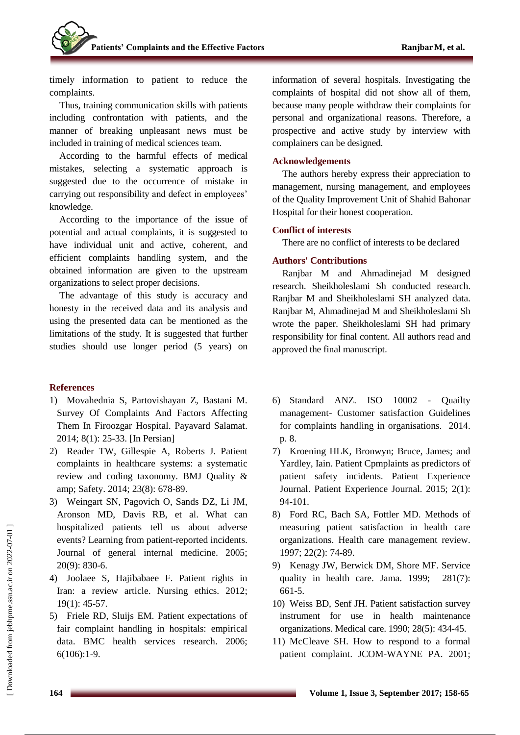timely information to patient to reduce the complaints.

Thus, training communication skills with patients including confrontation with patients, and the manner of breaking unpleasant news must be included in training of medical sciences team.

According to the harmful effects of medical mistakes, selecting a systematic approach is suggested due to the occurrence of mistake in carrying out responsibility and defect in employees' knowledge.

According to the importance of the issue of potential and actual complaints, it is suggested to have individual unit and active, coherent, and efficient complaints handling system, and the obtained information are given to the upstream organizations to select proper decisions.

The advantage of this study is accuracy and honesty in the received data and its analysis and using the presented data can be mentioned as the limitations of the study. It is suggested that further studies should use longer period (5 years) on

# **References**

- 1) Movahednia S, Partovishayan Z, Bastani M. Survey Of Complaints And Factors Affecting Them In Firoozgar Hospital. Payavard Salamat. 2014; 8(1): 25-33. [In Persian]
- 2) Reader TW, Gillespie A, Roberts J. Patient complaints in healthcare systems: a systematic review and coding taxonomy. BMJ Quality & amp; Safety. 2014; 23(8): 678-89.
- 3) Weingart SN, Pagovich O, Sands DZ, Li JM, Aronson MD, Davis RB, et al. What can hospitalized patients tell us about adverse events? Learning from patient-reported incidents. Journal of general internal medicine. 2005; 20(9): 830-6.
- 4) Joolaee S, Hajibabaee F. Patient rights in Iran: a review article. Nursing ethics. 2012; 19(1): 45-57.
- 5) Friele RD, Sluijs EM. Patient expectations of fair complaint handling in hospitals: empirical data. BMC health services research. 2006; 6(106):1-9.

information of several hospitals. Investigating the complaints of hospital did not show all of them, because many people withdraw their complaints for personal and organizational reasons. Therefore, a prospective and active study by interview with complainers can be designed.

#### **Acknowledgements**

The authors hereby express their appreciation to management, nursing management, and employees of the Quality Improvement Unit of Shahid Bahonar Hospital for their honest cooperation.

#### **Conflict of interests**

There are no conflict of interests to be declared

## **Authors' Contributions**

Ranjbar M and Ahmadinejad M designed research. Sheikholeslami Sh conducted research. Ranjbar M and Sheikholeslami SH analyzed data. Ranjbar M, Ahmadinejad M and Sheikholeslami Sh wrote the paper. Sheikholeslami SH had primary responsibility for final content. All authors read and approved the final manuscript.

- 6) Standard ANZ. ISO 10002 Quailty management- Customer satisfaction Guidelines for complaints handling in organisations. 2014. p. 8.
- 7) Kroening HLK, Bronwyn; Bruce, James; and Yardley, Iain. Patient Cpmplaints as predictors of patient safety incidents. Patient Experience Journal. Patient Experience Journal. 2015; 2(1): 94-101.
- 8) Ford RC, Bach SA, Fottler MD. Methods of measuring patient satisfaction in health care organizations. Health care management review. 1997; 22(2): 74-89.
- 9) Kenagy JW, Berwick DM, Shore MF. Service quality in health care. Jama. 1999; 281(7): 661-5.
- 10) Weiss BD, Senf JH. Patient satisfaction survey instrument for use in health maintenance organizations. Medical care. 1990; 28(5): 434-45.
- 11) McCleave SH. How to respond to a formal patient complaint. JCOM-WAYNE PA. 2001;